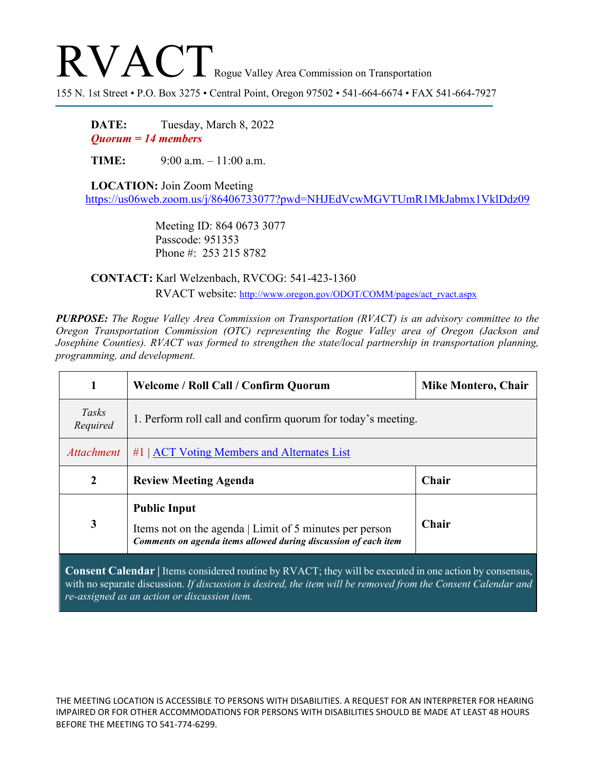## RVACT Rogue Valley Area Commission on Transportation

155 N. 1st Street • P.O. Box 3275 • Central Point, Oregon 97502 • 541-664-6674 • FAX 541-664-7927

**DATE:** Tuesday, March 8, 2022 *Quorum = 14 members*

**TIME:** 9:00 a.m. – 11:00 a.m.

**LOCATION:** Join Zoom Meeting <https://us06web.zoom.us/j/86406733077?pwd=NHJEdVcwMGVTUmR1MkJabmx1VklDdz09>

> Meeting ID: 864 0673 3077 Passcode: 951353 Phone #: 253 215 8782

**CONTACT:** Karl Welzenbach, RVCOG: 541-423-1360 RVACT website: [http://www.oregon.gov/ODOT/COMM/pages/act\\_rvact.aspx](http://www.oregon.gov/ODOT/COMM/pages/act_rvact.aspx)

*PURPOSE: The Rogue Valley Area Commission on Transportation (RVACT) is an advisory committee to the Oregon Transportation Commission (OTC) representing the Rogue Valley area of Oregon (Jackson and Josephine Counties). RVACT was formed to strengthen the state/local partnership in transportation planning, programming, and development.*

|                   | Welcome / Roll Call / Confirm Quorum                                                                                                              | <b>Mike Montero, Chair</b> |
|-------------------|---------------------------------------------------------------------------------------------------------------------------------------------------|----------------------------|
| Tasks<br>Required | 1. Perform roll call and confirm quorum for today's meeting.                                                                                      |                            |
| <b>Attachment</b> | #1   ACT Voting Members and Alternates List                                                                                                       |                            |
| $\overline{2}$    | <b>Review Meeting Agenda</b>                                                                                                                      | <b>Chair</b>               |
| 3                 | <b>Public Input</b><br>Items not on the agenda   Limit of 5 minutes per person<br>Comments on agenda items allowed during discussion of each item | Chair                      |

**Consent Calendar |** Items considered routine by RVACT; they will be executed in one action by consensus, with no separate discussion. *If discussion is desired, the item will be removed from the Consent Calendar and re-assigned as an action or discussion item.*

THE MEETING LOCATION IS ACCESSIBLE TO PERSONS WITH DISABILITIES. A REQUEST FOR AN INTERPRETER FOR HEARING IMPAIRED OR FOR OTHER ACCOMMODATIONS FOR PERSONS WITH DISABILITIES SHOULD BE MADE AT LEAST 48 HOURS BEFORE THE MEETING TO 541-774-6299.